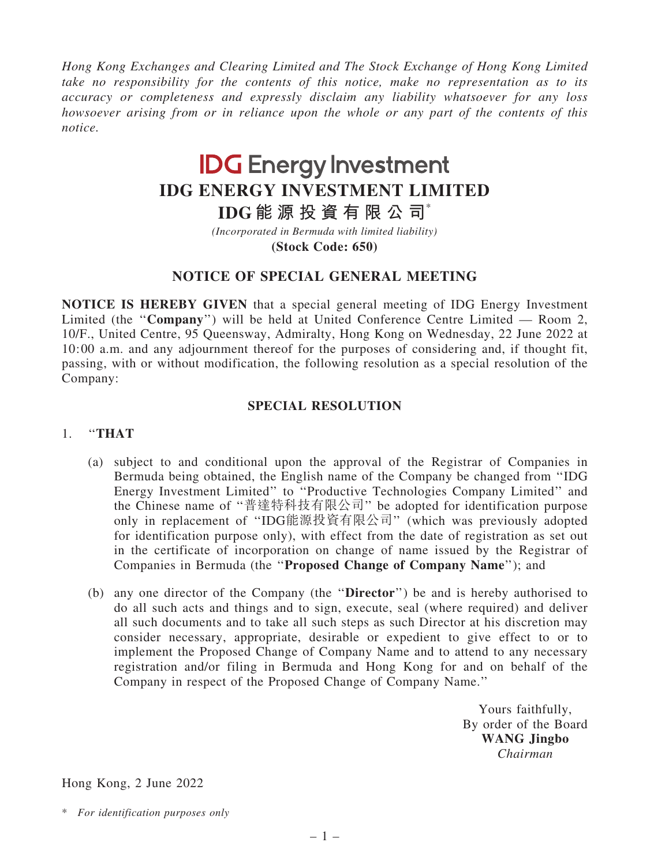*Hong Kong Exchanges and Clearing Limited and The Stock Exchange of Hong Kong Limited take no responsibility for the contents of this notice, make no representation as to its accuracy or completeness and expressly disclaim any liability whatsoever for any loss howsoever arising from or in reliance upon the whole or any part of the contents of this notice.*

# **IDG Energy Investment IDG ENERGY INVESTMENT LIMITED**

**IDG 能 源 投 資 有 限 公 司**\*

**(Stock Code: 650)** *(Incorporated in Bermuda with limited liability)*

## NOTICE OF SPECIAL GENERAL MEETING

NOTICE IS HEREBY GIVEN that a special general meeting of IDG Energy Investment Limited (the ''Company'') will be held at United Conference Centre Limited — Room 2, 10/F., United Centre, 95 Queensway, Admiralty, Hong Kong on Wednesday, 22 June 2022 at 10:00 a.m. and any adjournment thereof for the purposes of considering and, if thought fit, passing, with or without modification, the following resolution as a special resolution of the Company:

### SPECIAL RESOLUTION

#### 1. ''THAT

- (a) subject to and conditional upon the approval of the Registrar of Companies in Bermuda being obtained, the English name of the Company be changed from ''IDG Energy Investment Limited'' to ''Productive Technologies Company Limited'' and the Chinese name of ''普達特科技有限公司'' be adopted for identification purpose only in replacement of ''IDG能源投資有限公司'' (which was previously adopted for identification purpose only), with effect from the date of registration as set out in the certificate of incorporation on change of name issued by the Registrar of Companies in Bermuda (the ''Proposed Change of Company Name''); and
- (b) any one director of the Company (the ''Director'') be and is hereby authorised to do all such acts and things and to sign, execute, seal (where required) and deliver all such documents and to take all such steps as such Director at his discretion may consider necessary, appropriate, desirable or expedient to give effect to or to implement the Proposed Change of Company Name and to attend to any necessary registration and/or filing in Bermuda and Hong Kong for and on behalf of the Company in respect of the Proposed Change of Company Name.''

Yours faithfully, By order of the Board WANG Jingbo *Chairman*

Hong Kong, 2 June 2022

\* *For identification purposes only*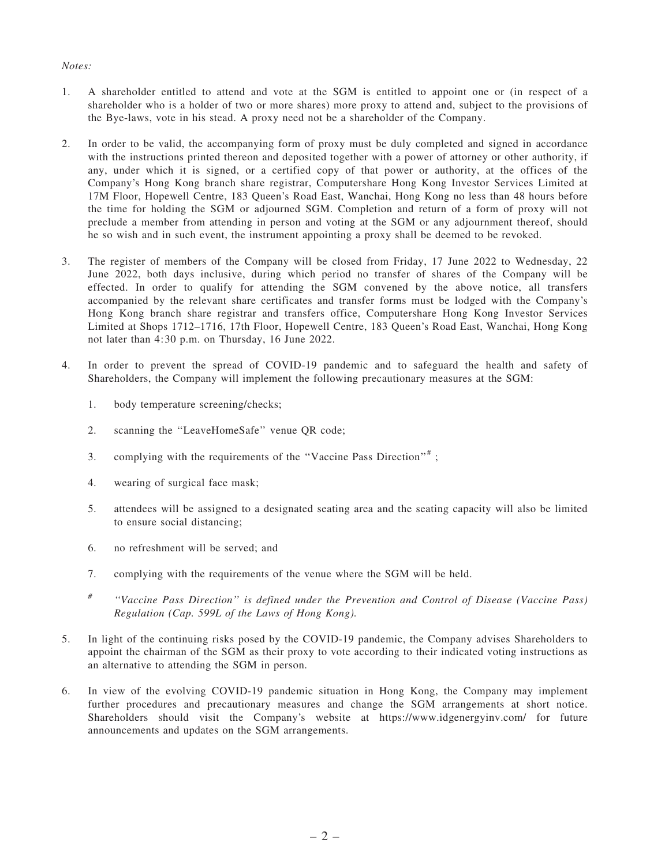#### *Notes:*

- 1. A shareholder entitled to attend and vote at the SGM is entitled to appoint one or (in respect of a shareholder who is a holder of two or more shares) more proxy to attend and, subject to the provisions of the Bye-laws, vote in his stead. A proxy need not be a shareholder of the Company.
- 2. In order to be valid, the accompanying form of proxy must be duly completed and signed in accordance with the instructions printed thereon and deposited together with a power of attorney or other authority, if any, under which it is signed, or a certified copy of that power or authority, at the offices of the Company's Hong Kong branch share registrar, Computershare Hong Kong Investor Services Limited at 17M Floor, Hopewell Centre, 183 Queen's Road East, Wanchai, Hong Kong no less than 48 hours before the time for holding the SGM or adjourned SGM. Completion and return of a form of proxy will not preclude a member from attending in person and voting at the SGM or any adjournment thereof, should he so wish and in such event, the instrument appointing a proxy shall be deemed to be revoked.
- 3. The register of members of the Company will be closed from Friday, 17 June 2022 to Wednesday, 22 June 2022, both days inclusive, during which period no transfer of shares of the Company will be effected. In order to qualify for attending the SGM convened by the above notice, all transfers accompanied by the relevant share certificates and transfer forms must be lodged with the Company's Hong Kong branch share registrar and transfers office, Computershare Hong Kong Investor Services Limited at Shops 1712–1716, 17th Floor, Hopewell Centre, 183 Queen's Road East, Wanchai, Hong Kong not later than 4:30 p.m. on Thursday, 16 June 2022.
- 4. In order to prevent the spread of COVID-19 pandemic and to safeguard the health and safety of Shareholders, the Company will implement the following precautionary measures at the SGM:
	- 1. body temperature screening/checks;
	- 2. scanning the ''LeaveHomeSafe'' venue QR code;
	- 3. complying with the requirements of the "Vaccine Pass Direction"#;
	- 4. wearing of surgical face mask;
	- 5. attendees will be assigned to a designated seating area and the seating capacity will also be limited to ensure social distancing;
	- 6. no refreshment will be served; and
	- 7. complying with the requirements of the venue where the SGM will be held.
	- *#* ''*Vaccine Pass Direction*'' *is defined under the Prevention and Control of Disease (Vaccine Pass) Regulation (Cap. 599L of the Laws of Hong Kong).*
- 5. In light of the continuing risks posed by the COVID-19 pandemic, the Company advises Shareholders to appoint the chairman of the SGM as their proxy to vote according to their indicated voting instructions as an alternative to attending the SGM in person.
- 6. In view of the evolving COVID-19 pandemic situation in Hong Kong, the Company may implement further procedures and precautionary measures and change the SGM arrangements at short notice. Shareholders should visit the Company's website at https://www.idgenergyinv.com/ for future announcements and updates on the SGM arrangements.